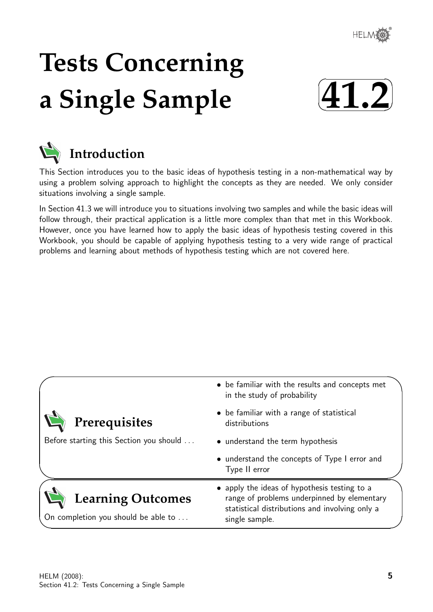

# **Tests Concerning a Single Sample**





# **Introduction**

This Section introduces you to the basic ideas of hypothesis testing in a non-mathematical way by using a problem solving approach to highlight the concepts as they are needed. We only consider situations involving a single sample.

In Section 41.3 we will introduce you to situations involving two samples and while the basic ideas will follow through, their practical application is a little more complex than that met in this Workbook. However, once you have learned how to apply the basic ideas of hypothesis testing covered in this Workbook, you should be capable of applying hypothesis testing to a very wide range of practical problems and learning about methods of hypothesis testing which are not covered here.

|                                                                 | • be familiar with the results and concepts met<br>in the study of probability                                                                                  |  |  |  |  |  |
|-----------------------------------------------------------------|-----------------------------------------------------------------------------------------------------------------------------------------------------------------|--|--|--|--|--|
| Prerequisites                                                   | • be familiar with a range of statistical<br>distributions                                                                                                      |  |  |  |  |  |
| Before starting this Section you should                         | • understand the term hypothesis                                                                                                                                |  |  |  |  |  |
|                                                                 | • understand the concepts of Type I error and<br>Type II error                                                                                                  |  |  |  |  |  |
| <b>Learning Outcomes</b><br>On completion you should be able to | • apply the ideas of hypothesis testing to a<br>range of problems underpinned by elementary<br>statistical distributions and involving only a<br>single sample. |  |  |  |  |  |
|                                                                 |                                                                                                                                                                 |  |  |  |  |  |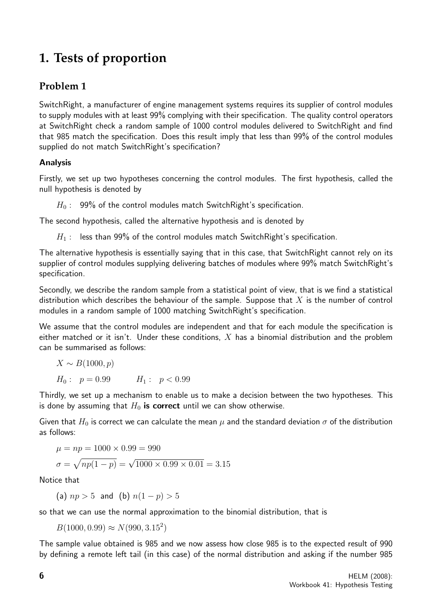# **1. Tests of proportion**

# **Problem 1**

SwitchRight, a manufacturer of engine management systems requires its supplier of control modules to supply modules with at least 99% complying with their specification. The quality control operators at SwitchRight check a random sample of 1000 control modules delivered to SwitchRight and find that 985 match the specification. Does this result imply that less than 99% of the control modules supplied do not match SwitchRight's specification?

## Analysis

Firstly, we set up two hypotheses concerning the control modules. The first hypothesis, called the null hypothesis is denoted by

 $H_0$ : 99% of the control modules match SwitchRight's specification.

The second hypothesis, called the alternative hypothesis and is denoted by

 $H_1$ : less than 99% of the control modules match SwitchRight's specification.

The alternative hypothesis is essentially saying that in this case, that SwitchRight cannot rely on its supplier of control modules supplying delivering batches of modules where 99% match SwitchRight's specification.

Secondly, we describe the random sample from a statistical point of view, that is we find a statistical distribution which describes the behaviour of the sample. Suppose that  $X$  is the number of control modules in a random sample of 1000 matching SwitchRight's specification.

We assume that the control modules are independent and that for each module the specification is either matched or it isn't. Under these conditions,  $X$  has a binomial distribution and the problem can be summarised as follows:

$$
X \sim B(1000, p)
$$
  
\n
$$
H_0: p = 0.99 \qquad H_1: p < 0.99
$$

Thirdly, we set up a mechanism to enable us to make a decision between the two hypotheses. This is done by assuming that  $H_0$  is correct until we can show otherwise.

Given that  $H_0$  is correct we can calculate the mean  $\mu$  and the standard deviation  $\sigma$  of the distribution as follows:

$$
\mu = np = 1000 \times 0.99 = 990
$$

$$
\sigma = \sqrt{np(1-p)} = \sqrt{1000 \times 0.99 \times 0.01} = 3.15
$$

Notice that

(a)  $np > 5$  and (b)  $n(1-p) > 5$ 

so that we can use the normal approximation to the binomial distribution, that is

 $B(1000, 0.99) \approx N(990, 3.15^2)$ 

The sample value obtained is 985 and we now assess how close 985 is to the expected result of 990 by defining a remote left tail (in this case) of the normal distribution and asking if the number 985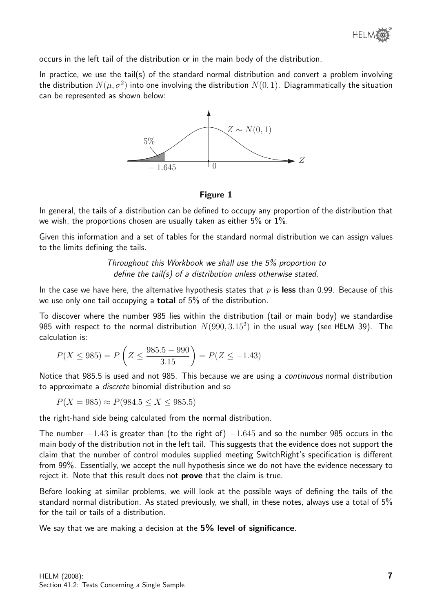occurs in the left tail of the distribution or in the main body of the distribution.

In practice, we use the tail(s) of the standard normal distribution and convert a problem involving the distribution  $N(\mu, \sigma^2)$  into one involving the distribution  $N(0, 1)$ . Diagrammatically the situation can be represented as shown below:



#### Figure 1

In general, the tails of a distribution can be defined to occupy any proportion of the distribution that we wish, the proportions chosen are usually taken as either 5% or 1%.

Given this information and a set of tables for the standard normal distribution we can assign values to the limits defining the tails.

> Throughout this Workbook we shall use the 5% proportion to define the tail(s) of a distribution unless otherwise stated.

In the case we have here, the alternative hypothesis states that  $p$  is less than 0.99. Because of this we use only one tail occupying a total of 5% of the distribution.

To discover where the number 985 lies within the distribution (tail or main body) we standardise 985 with respect to the normal distribution  $N(990,3.15^2)$  in the usual way (see HELM 39). The calculation is:

$$
P(X \le 985) = P\left(Z \le \frac{985.5 - 990}{3.15}\right) = P(Z \le -1.43)
$$

Notice that 985.5 is used and not 985. This because we are using a continuous normal distribution to approximate a discrete binomial distribution and so

 $P(X = 985) \approx P(984.5 \le X \le 985.5)$ 

the right-hand side being calculated from the normal distribution.

The number  $-1.43$  is greater than (to the right of)  $-1.645$  and so the number 985 occurs in the main body of the distribution not in the left tail. This suggests that the evidence does not support the claim that the number of control modules supplied meeting SwitchRight's specification is different from 99%. Essentially, we accept the null hypothesis since we do not have the evidence necessary to reject it. Note that this result does not prove that the claim is true.

Before looking at similar problems, we will look at the possible ways of defining the tails of the standard normal distribution. As stated previously, we shall, in these notes, always use a total of 5% for the tail or tails of a distribution.

We say that we are making a decision at the 5% level of significance.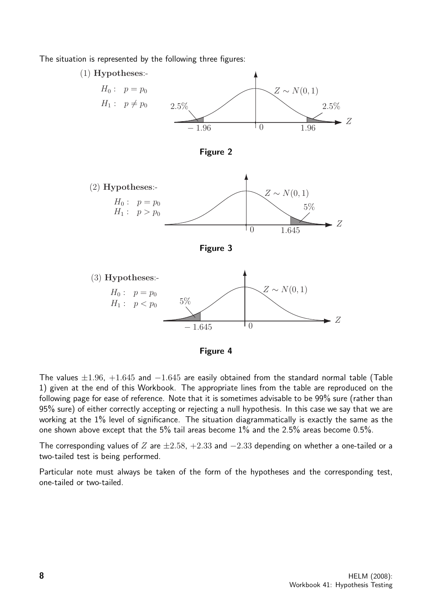The situation is represented by the following three figures:



The values  $\pm 1.96$ ,  $+1.645$  and  $-1.645$  are easily obtained from the standard normal table (Table 1) given at the end of this Workbook. The appropriate lines from the table are reproduced on the following page for ease of reference. Note that it is sometimes advisable to be 99% sure (rather than 95% sure) of either correctly accepting or rejecting a null hypothesis. In this case we say that we are working at the 1% level of significance. The situation diagrammatically is exactly the same as the one shown above except that the 5% tail areas become 1% and the 2.5% areas become 0.5%.

The corresponding values of Z are  $\pm 2.58$ ,  $+2.33$  and  $-2.33$  depending on whether a one-tailed or a two-tailed test is being performed.

Particular note must always be taken of the form of the hypotheses and the corresponding test, one-tailed or two-tailed.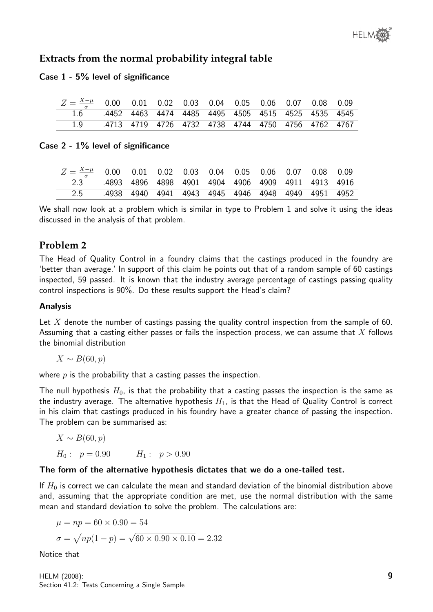# **Extracts from the normal probability integral table**

#### Case 1 - 5% level of significance

| $Z = \frac{X-\mu}{\sigma}$ 0.00 0.01 0.02 0.03 0.04 0.05 0.06 0.07 0.08 0.09 |                                                    |  |  |  |  |  |
|------------------------------------------------------------------------------|----------------------------------------------------|--|--|--|--|--|
| 1.6 .4452 4463 4474 4485 4495 4505 4515 4525 4535 4545                       |                                                    |  |  |  |  |  |
|                                                                              | .4713 4719 4726 4732 4738 4744 4750 4756 4762 4767 |  |  |  |  |  |

#### Case 2 - 1% level of significance

| $Z = \frac{X-\mu}{\sigma}$ 0.00 0.01 0.02 0.03 0.04 0.05 0.06 0.07 0.08 0.09 |  |  |  |  |  |
|------------------------------------------------------------------------------|--|--|--|--|--|
| 2.3 4893 4896 4898 4901 4904 4906 4909 4911 4913 4916                        |  |  |  |  |  |
| 2.5 .4938 4940 4941 4943 4945 4946 4948 4949 4951 4952                       |  |  |  |  |  |

We shall now look at a problem which is similar in type to Problem 1 and solve it using the ideas discussed in the analysis of that problem.

# **Problem 2**

The Head of Quality Control in a foundry claims that the castings produced in the foundry are 'better than average.' In support of this claim he points out that of a random sample of 60 castings inspected, 59 passed. It is known that the industry average percentage of castings passing quality control inspections is 90%. Do these results support the Head's claim?

#### Analysis

Let X denote the number of castings passing the quality control inspection from the sample of 60. Assuming that a casting either passes or fails the inspection process, we can assume that X follows the binomial distribution

 $X \sim B(60, p)$ 

where  $p$  is the probability that a casting passes the inspection.

The null hypothesis  $H_0$ , is that the probability that a casting passes the inspection is the same as the industry average. The alternative hypothesis  $H_1$ , is that the Head of Quality Control is correct in his claim that castings produced in his foundry have a greater chance of passing the inspection. The problem can be summarised as:

$$
X \sim B(60, p)
$$
  
\n
$$
H_0: p = 0.90 \qquad H_1: p > 0.90
$$

#### The form of the alternative hypothesis dictates that we do a one-tailed test.

If  $H_0$  is correct we can calculate the mean and standard deviation of the binomial distribution above and, assuming that the appropriate condition are met, use the normal distribution with the same mean and standard deviation to solve the problem. The calculations are:

$$
\mu = np = 60 \times 0.90 = 54
$$

$$
\sigma = \sqrt{np(1-p)} = \sqrt{60 \times 0.90 \times 0.10} = 2.32
$$

Notice that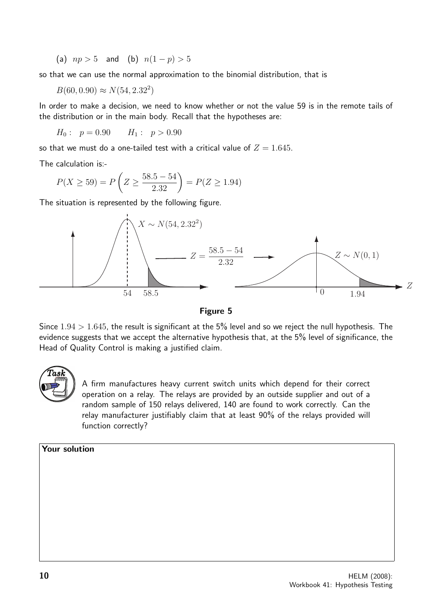(a)  $np > 5$  and (b)  $n(1-p) > 5$ 

so that we can use the normal approximation to the binomial distribution, that is

 $B(60, 0.90) \approx N(54, 2.32^2)$ 

In order to make a decision, we need to know whether or not the value 59 is in the remote tails of the distribution or in the main body. Recall that the hypotheses are:

 $H_0: p = 0.90$   $H_1: p > 0.90$ 

so that we must do a one-tailed test with a critical value of  $Z = 1.645$ .

The calculation is:-

$$
P(X \ge 59) = P\left(Z \ge \frac{58.5 - 54}{2.32}\right) = P(Z \ge 1.94)
$$

The situation is represented by the following figure.



Figure 5

Since  $1.94 > 1.645$ , the result is significant at the 5% level and so we reject the null hypothesis. The evidence suggests that we accept the alternative hypothesis that, at the 5% level of significance, the Head of Quality Control is making a justified claim.



A firm manufactures heavy current switch units which depend for their correct operation on a relay. The relays are provided by an outside supplier and out of a random sample of 150 relays delivered, 140 are found to work correctly. Can the relay manufacturer justifiably claim that at least 90% of the relays provided will function correctly?

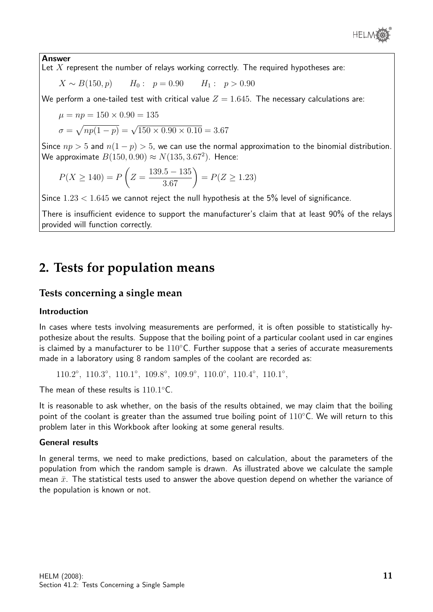

#### Answer

Let  $X$  represent the number of relays working correctly. The required hypotheses are:

$$
X \sim B(150, p)
$$
  $H_0: p = 0.90$   $H_1: p > 0.90$ 

We perform a one-tailed test with critical value  $Z = 1.645$ . The necessary calculations are:

$$
\mu = np = 150 \times 0.90 = 135
$$

$$
\sigma = \sqrt{np(1-p)} = \sqrt{150 \times 0.90 \times 0.10} = 3.67
$$

Since  $np > 5$  and  $n(1 - p) > 5$ , we can use the normal approximation to the binomial distribution. We approximate  $B(150, 0.90) \approx N(135, 3.67^2)$ . Hence:

$$
P(X \ge 140) = P\left(Z = \frac{139.5 - 135}{3.67}\right) = P(Z \ge 1.23)
$$

Since  $1.23 < 1.645$  we cannot reject the null hypothesis at the 5% level of significance.

There is insufficient evidence to support the manufacturer's claim that at least 90% of the relays provided will function correctly.

# **2. Tests for population means**

#### **Tests concerning a single mean**

#### Introduction

In cases where tests involving measurements are performed, it is often possible to statistically hypothesize about the results. Suppose that the boiling point of a particular coolant used in car engines is claimed by a manufacturer to be  $110^{\circ}$ C. Further suppose that a series of accurate measurements made in a laboratory using 8 random samples of the coolant are recorded as:

110.2°, 110.3°, 110.1°, 109.8°, 109.9°, 110.0°, 110.4°, 110.1°,

The mean of these results is  $110.1^{\circ}$ C.

It is reasonable to ask whether, on the basis of the results obtained, we may claim that the boiling point of the coolant is greater than the assumed true boiling point of  $110°C$ . We will return to this problem later in this Workbook after looking at some general results.

#### General results

In general terms, we need to make predictions, based on calculation, about the parameters of the population from which the random sample is drawn. As illustrated above we calculate the sample mean  $\bar{x}$ . The statistical tests used to answer the above question depend on whether the variance of the population is known or not.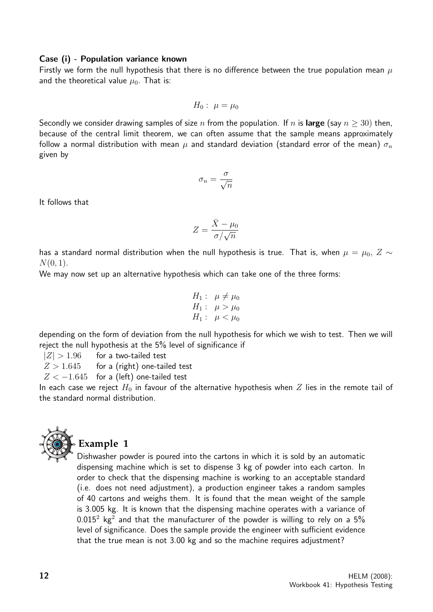#### Case (i) - Population variance known

Firstly we form the null hypothesis that there is no difference between the true population mean  $\mu$ and the theoretical value  $\mu_0$ . That is:

$$
H_0: \ \mu=\mu_0
$$

Secondly we consider drawing samples of size n from the population. If n is large (say  $n > 30$ ) then, because of the central limit theorem, we can often assume that the sample means approximately follow a normal distribution with mean  $\mu$  and standard deviation (standard error of the mean)  $\sigma_n$ given by

$$
\sigma_n = \frac{\sigma}{\sqrt{n}}
$$

It follows that

$$
Z = \frac{\bar{X} - \mu_0}{\sigma / \sqrt{n}}
$$

has a standard normal distribution when the null hypothesis is true. That is, when  $\mu = \mu_0, Z \sim$  $N(0, 1)$ .

We may now set up an alternative hypothesis which can take one of the three forms:

$$
H_1: \mu \neq \mu_0 H_1: \mu > \mu_0 H_1: \mu < \mu_0
$$

depending on the form of deviation from the null hypothesis for which we wish to test. Then we will reject the null hypothesis at the 5% level of significance if

 $|Z| > 1.96$  for a two-tailed test

 $Z > 1.645$  for a (right) one-tailed test

 $Z < -1.645$  for a (left) one-tailed test

In each case we reject  $H_0$  in favour of the alternative hypothesis when Z lies in the remote tail of the standard normal distribution.



# **Example 1**

Dishwasher powder is poured into the cartons in which it is sold by an automatic dispensing machine which is set to dispense 3 kg of powder into each carton. In order to check that the dispensing machine is working to an acceptable standard (i.e. does not need adjustment), a production engineer takes a random samples of 40 cartons and weighs them. It is found that the mean weight of the sample is 3.005 kg. It is known that the dispensing machine operates with a variance of  $0.015^2$  kg<sup>2</sup> and that the manufacturer of the powder is willing to rely on a  $5\%$ level of significance. Does the sample provide the engineer with sufficient evidence that the true mean is not 3.00 kg and so the machine requires adjustment?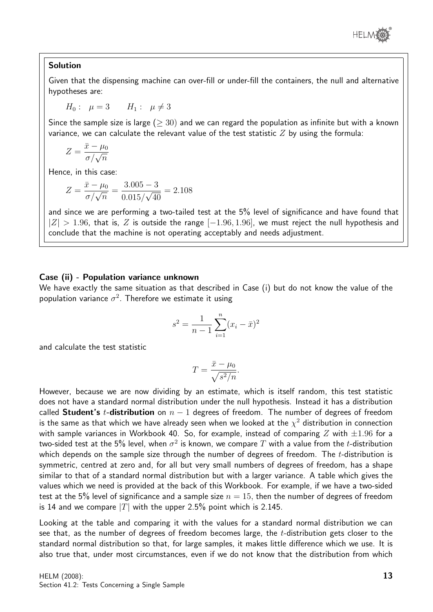

#### Solution

Given that the dispensing machine can over-fill or under-fill the containers, the null and alternative hypotheses are:

$$
H_0: \mu=3 \qquad H_1: \mu \neq 3
$$

Since the sample size is large ( $\geq 30$ ) and we can regard the population as infinite but with a known variance, we can calculate the relevant value of the test statistic  $Z$  by using the formula:

$$
Z = \frac{\bar{x} - \mu_0}{\sigma / \sqrt{n}}
$$

Hence, in this case:

$$
Z = \frac{\bar{x} - \mu_0}{\sigma / \sqrt{n}} = \frac{3.005 - 3}{0.015 / \sqrt{40}} = 2.108
$$

and since we are performing a two-tailed test at the 5% level of significance and have found that  $|Z| > 1.96$ , that is, Z is outside the range  $[-1.96, 1.96]$ , we must reject the null hypothesis and conclude that the machine is not operating acceptably and needs adjustment.

#### Case (ii) - Population variance unknown

We have exactly the same situation as that described in Case (i) but do not know the value of the population variance  $\sigma^2$ . Therefore we estimate it using

$$
s^{2} = \frac{1}{n-1} \sum_{i=1}^{n} (x_{i} - \bar{x})^{2}
$$

and calculate the test statistic

$$
T = \frac{\bar{x} - \mu_0}{\sqrt{s^2/n}}.
$$

However, because we are now dividing by an estimate, which is itself random, this test statistic does not have a standard normal distribution under the null hypothesis. Instead it has a distribution called Student's t-distribution on  $n-1$  degrees of freedom. The number of degrees of freedom is the same as that which we have already seen when we looked at the  $\chi^2$  distribution in connection with sample variances in Workbook 40. So, for example, instead of comparing Z with  $\pm 1.96$  for a two-sided test at the 5% level, when  $\sigma^2$  is known, we compare  $T$  with a value from the  $t$ -distribution which depends on the sample size through the number of degrees of freedom. The  $t$ -distribution is symmetric, centred at zero and, for all but very small numbers of degrees of freedom, has a shape similar to that of a standard normal distribution but with a larger variance. A table which gives the values which we need is provided at the back of this Workbook. For example, if we have a two-sided test at the 5% level of significance and a sample size  $n = 15$ , then the number of degrees of freedom is 14 and we compare  $|T|$  with the upper 2.5% point which is 2.145.

Looking at the table and comparing it with the values for a standard normal distribution we can see that, as the number of degrees of freedom becomes large, the t-distribution gets closer to the standard normal distribution so that, for large samples, it makes little difference which we use. It is also true that, under most circumstances, even if we do not know that the distribution from which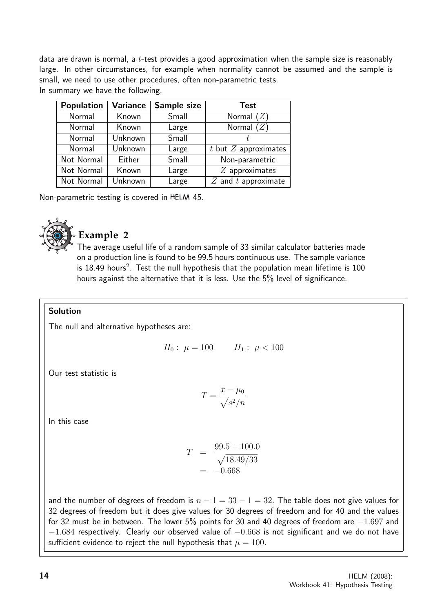data are drawn is normal, a  $t$ -test provides a good approximation when the sample size is reasonably large. In other circumstances, for example when normality cannot be assumed and the sample is small, we need to use other procedures, often non-parametric tests. In summary we have the following.

| <b>Population</b> | <b>Variance</b> | Sample size | <b>Test</b>             |
|-------------------|-----------------|-------------|-------------------------|
| Normal            | Known           | Small       | Normal $(Z)$            |
| Normal            | Known           | Large       | Normal $(Z)$            |
| Normal            | Unknown         | Small       |                         |
| Normal            | Unknown         | Large       | t but $Z$ approximates  |
| Not Normal        | Either          | Small       | Non-parametric          |
| Not Normal        | Known           | Large       | $Z$ approximates        |
| Not Normal        | Unknown         | Large       | $Z$ and $t$ approximate |

Non-parametric testing is covered in HELM 45.



# **Example 2**

The average useful life of a random sample of 33 similar calculator batteries made on a production line is found to be 99.5 hours continuous use. The sample variance is  $18.49$  hours<sup>2</sup>. Test the null hypothesis that the population mean lifetime is  $100$ hours against the alternative that it is less. Use the 5% level of significance.

#### Solution

The null and alternative hypotheses are:

$$
H_0: \ \mu = 100 \qquad H_1: \ \mu < 100
$$

Our test statistic is

$$
T = \frac{\bar{x} - \mu_0}{\sqrt{s^2/n}}
$$

In this case

$$
T = \frac{99.5 - 100.0}{\sqrt{18.49/33}}
$$
  
= -0.668

and the number of degrees of freedom is  $n - 1 = 33 - 1 = 32$ . The table does not give values for 32 degrees of freedom but it does give values for 30 degrees of freedom and for 40 and the values for 32 must be in between. The lower 5% points for 30 and 40 degrees of freedom are  $-1.697$  and  $-1.684$  respectively. Clearly our observed value of  $-0.668$  is not significant and we do not have sufficient evidence to reject the null hypothesis that  $\mu = 100$ .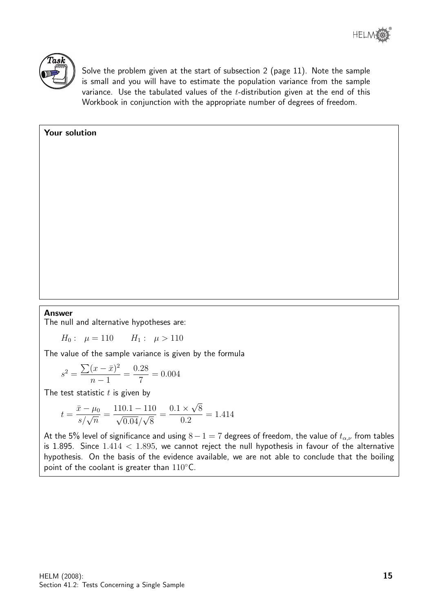

Solve the problem given at the start of subsection 2 (page 11). Note the sample is small and you will have to estimate the population variance from the sample variance. Use the tabulated values of the  $t$ -distribution given at the end of this Workbook in conjunction with the appropriate number of degrees of freedom.

#### Your solution

#### Answer

The null and alternative hypotheses are:

 $H_0: \mu = 110$   $H_1: \mu > 110$ 

The value of the sample variance is given by the formula

$$
s^{2} = \frac{\sum (x - \bar{x})^{2}}{n - 1} = \frac{0.28}{7} = 0.004
$$

The test statistic  $t$  is given by

$$
t = \frac{\bar{x} - \mu_0}{s / \sqrt{n}} = \frac{110.1 - 110}{\sqrt{0.04 / \sqrt{8}}} = \frac{0.1 \times \sqrt{8}}{0.2} = 1.414
$$

At the 5% level of significance and using  $8-1=7$  degrees of freedom, the value of  $t_{\alpha,\nu}$  from tables is 1.895. Since  $1.414 < 1.895$ , we cannot reject the null hypothesis in favour of the alternative hypothesis. On the basis of the evidence available, we are not able to conclude that the boiling point of the coolant is greater than 110℃.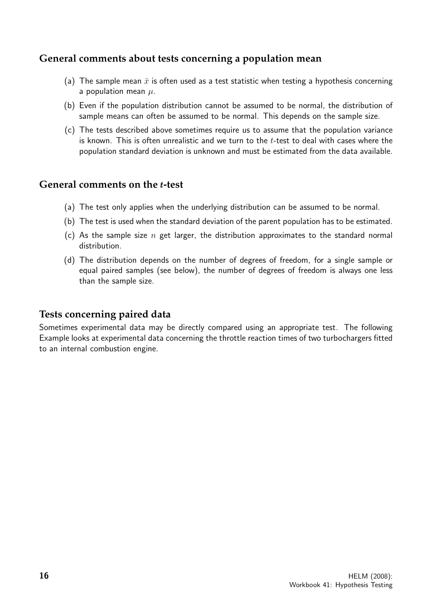# **General comments about tests concerning a population mean**

- (a) The sample mean  $\bar{x}$  is often used as a test statistic when testing a hypothesis concerning a population mean  $\mu$ .
- (b) Even if the population distribution cannot be assumed to be normal, the distribution of sample means can often be assumed to be normal. This depends on the sample size.
- (c) The tests described above sometimes require us to assume that the population variance is known. This is often unrealistic and we turn to the  $t$ -test to deal with cases where the population standard deviation is unknown and must be estimated from the data available.

## **General comments on the** t**-test**

- (a) The test only applies when the underlying distribution can be assumed to be normal.
- (b) The test is used when the standard deviation of the parent population has to be estimated.
- (c) As the sample size n get larger, the distribution approximates to the standard normal distribution.
- (d) The distribution depends on the number of degrees of freedom, for a single sample or equal paired samples (see below), the number of degrees of freedom is always one less than the sample size.

## **Tests concerning paired data**

Sometimes experimental data may be directly compared using an appropriate test. The following Example looks at experimental data concerning the throttle reaction times of two turbochargers fitted to an internal combustion engine.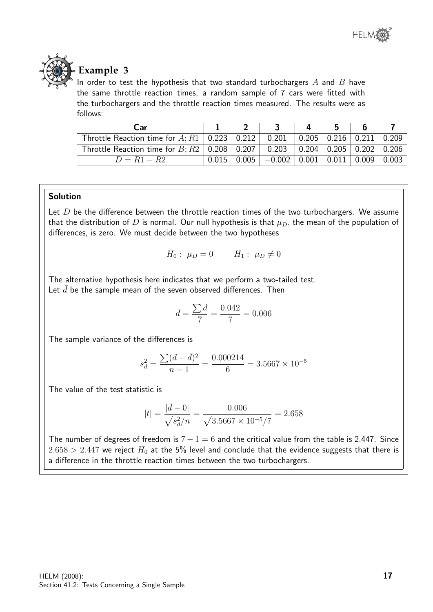



# **Example 3**

In order to test the hypothesis that two standard turbochargers  $A$  and  $B$  have the same throttle reaction times, a random sample of 7 cars were fitted with the turbochargers and the throttle reaction times measured. The results were as follows:

| Car                                                                                                                |  |                                                                      |  |  |
|--------------------------------------------------------------------------------------------------------------------|--|----------------------------------------------------------------------|--|--|
| Throttle Reaction time for A; R1   0.223   0.212   0.201   0.205   0.216   0.211   0.209                           |  |                                                                      |  |  |
| Throttle Reaction time for $B$ ; $R2 \mid 0.208 \mid 0.207 \mid 0.203 \mid 0.204 \mid 0.205 \mid 0.202 \mid 0.206$ |  |                                                                      |  |  |
| $D = R1 - R2$                                                                                                      |  | $0.015$   $0.005$   $-0.002$   $0.001$   $0.011$   $0.009$   $0.003$ |  |  |

#### Solution

Let  $D$  be the difference between the throttle reaction times of the two turbochargers. We assume that the distribution of D is normal. Our null hypothesis is that  $\mu_D$ , the mean of the population of differences, is zero. We must decide between the two hypotheses

$$
H_0: \mu_D = 0 \qquad H_1: \mu_D \neq 0
$$

The alternative hypothesis here indicates that we perform a two-tailed test. Let  $\bar{d}$  be the sample mean of the seven observed differences. Then

$$
\bar{d} = \frac{\sum d}{7} = \frac{0.042}{7} = 0.006
$$

The sample variance of the differences is

$$
s_d^2 = \frac{\sum (d - \bar{d})^2}{n - 1} = \frac{0.000214}{6} = 3.5667 \times 10^{-5}
$$

The value of the test statistic is

$$
|t| = \frac{|\bar{d} - 0|}{\sqrt{s_d^2/n}} = \frac{0.006}{\sqrt{3.5667 \times 10^{-5}/7}} = 2.658
$$

The number of degrees of freedom is  $7 - 1 = 6$  and the critical value from the table is 2.447. Since  $2.658 > 2.447$  we reject  $H_0$  at the 5% level and conclude that the evidence suggests that there is a difference in the throttle reaction times between the two turbochargers.